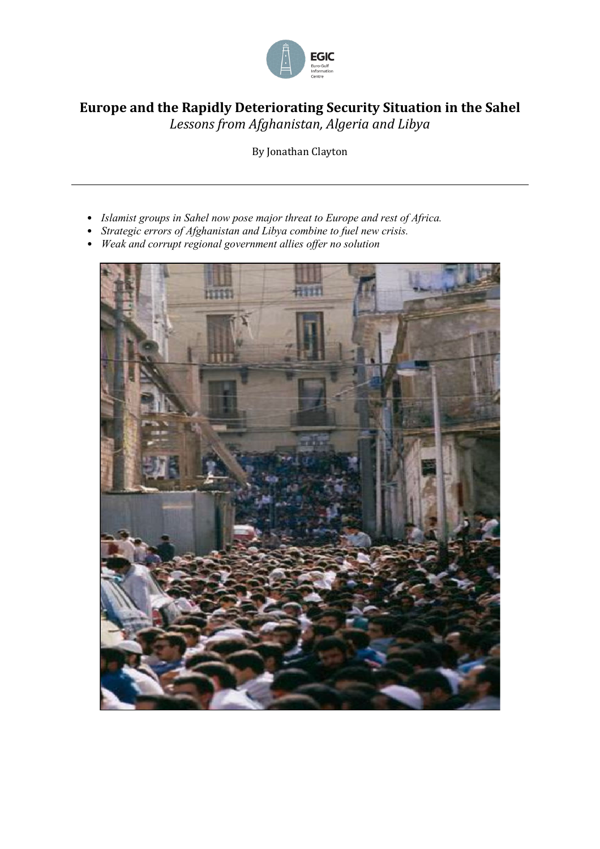

# **Europe and the Rapidly Deteriorating Security Situation in the Sahel** *Lessons from Afghanistan, Algeria and Libya*

By Jonathan Clayton

- *Islamist groups in Sahel now pose major threat to Europe and rest of Africa.*
- *Strategic errors of Afghanistan and Libya combine to fuel new crisis.*
- *Weak and corrupt regional government allies offer no solution*

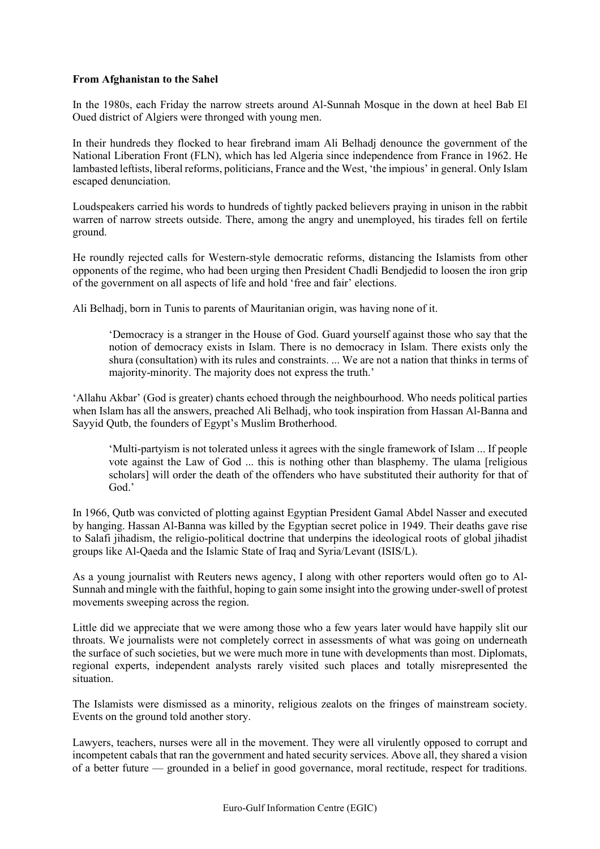### **From Afghanistan to the Sahel**

In the 1980s, each Friday the narrow streets around Al-Sunnah Mosque in the down at heel Bab El Oued district of Algiers were thronged with young men.

In their hundreds they flocked to hear firebrand imam Ali Belhadj denounce the government of the National Liberation Front (FLN), which has led Algeria since independence from France in 1962. He lambasted leftists, liberal reforms, politicians, France and the West, 'the impious' in general. Only Islam escaped denunciation.

Loudspeakers carried his words to hundreds of tightly packed believers praying in unison in the rabbit warren of narrow streets outside. There, among the angry and unemployed, his tirades fell on fertile ground.

He roundly rejected calls for Western-style democratic reforms, distancing the Islamists from other opponents of the regime, who had been urging then President Chadli Bendjedid to loosen the iron grip of the government on all aspects of life and hold 'free and fair' elections.

Ali Belhadj, born in Tunis to parents of Mauritanian origin, was having none of it.

'Democracy is a stranger in the House of God. Guard yourself against those who say that the notion of democracy exists in Islam. There is no democracy in Islam. There exists only the shura (consultation) with its rules and constraints. ... We are not a nation that thinks in terms of majority-minority. The majority does not express the truth.'

'Allahu Akbar' (God is greater) chants echoed through the neighbourhood. Who needs political parties when Islam has all the answers, preached Ali Belhadj, who took inspiration from Hassan Al-Banna and Sayyid Qutb, the founders of Egypt's Muslim Brotherhood.

'Multi-partyism is not tolerated unless it agrees with the single framework of Islam ... If people vote against the Law of God ... this is nothing other than blasphemy. The ulama [religious scholars] will order the death of the offenders who have substituted their authority for that of God.'

In 1966, Qutb was convicted of plotting against Egyptian President Gamal Abdel Nasser and executed by [hanging.](https://en.wikipedia.org/wiki/Hanging) Hassan Al-Banna was killed by the Egyptian secret police in 1949. Their deaths gave rise to Salafi jihadism, the religio-political doctrine that underpins the ideological roots of global jihadist groups like Al-Qaeda and the Islamic State of Iraq and Syria/Levant (ISIS/L).

As a young journalist with Reuters news agency, I along with other reporters would often go to Al-Sunnah and mingle with the faithful, hoping to gain some insight into the growing under-swell of protest movements sweeping across the region.

Little did we appreciate that we were among those who a few years later would have happily slit our throats. We journalists were not completely correct in assessments of what was going on underneath the surface of such societies, but we were much more in tune with developments than most. Diplomats, regional experts, independent analysts rarely visited such places and totally misrepresented the situation.

The Islamists were dismissed as a minority, religious zealots on the fringes of mainstream society. Events on the ground told another story.

Lawyers, teachers, nurses were all in the movement. They were all virulently opposed to corrupt and incompetent cabals that ran the government and hated security services. Above all, they shared a vision of a better future — grounded in a belief in good governance, moral rectitude, respect for traditions.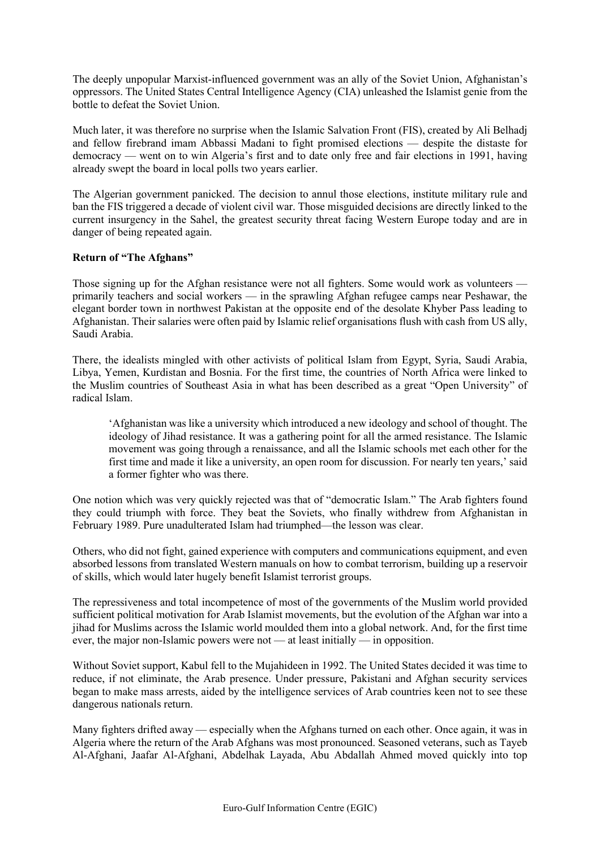The deeply unpopular Marxist-influenced government was an ally of the Soviet Union, Afghanistan's oppressors. The United States Central Intelligence Agency (CIA) unleashed the Islamist genie from the bottle to defeat the Soviet Union.

Much later, it was therefore no surprise when the Islamic Salvation Front (FIS), created by Ali Belhadj and fellow firebrand imam Abbassi Madani to fight promised elections — despite the distaste for democracy — went on to win Algeria's first and to date only free and fair elections in 1991, having already swept the board in local polls two years earlier.

The Algerian government panicked. The decision to annul those elections, institute military rule and ban the FIS triggered a decade of violent civil war. Those misguided decisions are directly linked to the current insurgency in the Sahel, the greatest security threat facing Western Europe today and are in danger of being repeated again.

# **Return of "The Afghans"**

Those signing up for the Afghan resistance were not all fighters. Some would work as volunteers primarily teachers and social workers — in the sprawling Afghan refugee camps near Peshawar, the elegant border town in northwest Pakistan at the opposite end of the desolate Khyber Pass leading to Afghanistan. Their salaries were often paid by Islamic relief organisations flush with cash from US ally, Saudi Arabia.

There, the idealists mingled with other activists of political Islam from Egypt, Syria, Saudi Arabia, Libya, Yemen, Kurdistan and Bosnia. For the first time, the countries of North Africa were linked to the Muslim countries of Southeast Asia in what has been described as a great "Open University" of radical Islam.

'Afghanistan was like a university which introduced a new ideology and school of thought. The ideology of Jihad resistance. It was a gathering point for all the armed resistance. The Islamic movement was going through a renaissance, and all the Islamic schools met each other for the first time and made it like a university, an open room for discussion. For nearly ten years,' said a former fighter who was there.

One notion which was very quickly rejected was that of "democratic Islam." The Arab fighters found they could triumph with force. They beat the Soviets, who finally withdrew from Afghanistan in February 1989. Pure unadulterated Islam had triumphed—the lesson was clear.

Others, who did not fight, gained experience with computers and communications equipment, and even absorbed lessons from translated Western manuals on how to combat terrorism, building up a reservoir of skills, which would later hugely benefit Islamist terrorist groups.

The repressiveness and total incompetence of most of the governments of the Muslim world provided sufficient political motivation for Arab Islamist movements, but the evolution of the Afghan war into a jihad for Muslims across the Islamic world moulded them into a global network. And, for the first time ever, the major non-Islamic powers were not — at least initially — in opposition.

Without Soviet support, Kabul fell to the Mujahideen in 1992. The United States decided it was time to reduce, if not eliminate, the Arab presence. Under pressure, Pakistani and Afghan security services began to make mass arrests, aided by the intelligence services of Arab countries keen not to see these dangerous nationals return.

Many fighters drifted away — especially when the Afghans turned on each other. Once again, it was in Algeria where the return of the Arab Afghans was most pronounced. Seasoned veterans, such as Tayeb Al-Afghani, Jaafar Al-Afghani, Abdelhak Layada, Abu Abdallah Ahmed moved quickly into top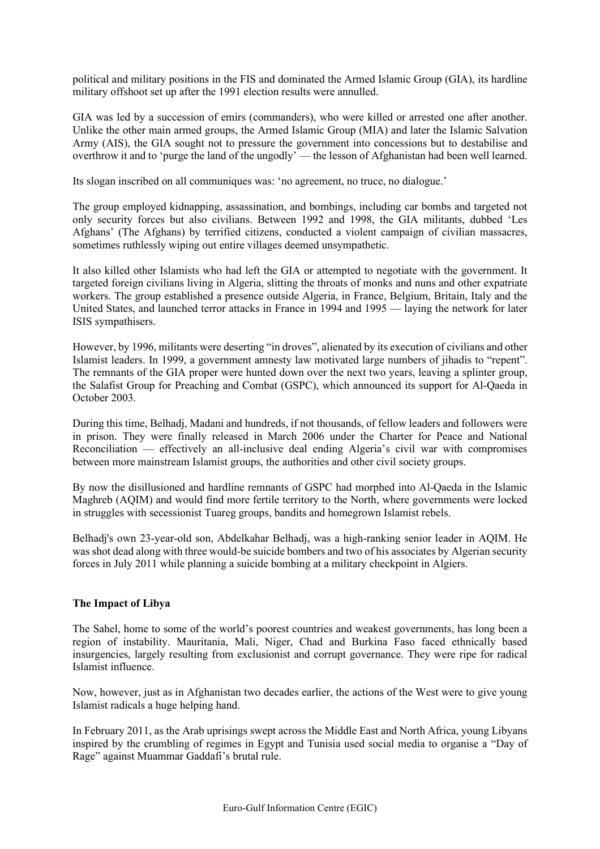political and military positions in the FIS and dominated the Armed Islamic Group (GIA), its hardline military offshoot set up after the 1991 election results were annulled.

GIA was led by a succession of emirs (commanders), who were killed or arrested one after another. Unlike the other main armed groups, the Armed Islamic Group (MIA) and later the Islamic Salvation Army (AIS), the GIA sought not to pressure the government into concessions but to destabilise and overthrow it and to 'purge the land of the ungodly' — the lesson of Afghanistan had been well learned.

Its slogan inscribed on all communiques was: 'no agreement, no truce, no dialogue.'

The group employed kidnapping, assassination, and bombings, including car bombs and targeted not only security forces but also civilians. Between 1992 and 1998, the GIA militants, dubbed 'Les Afghans' (The Afghans) by terrified citizens, conducted a violent campaign of civilian massacres, sometimes ruthlessly wiping out entire villages deemed unsympathetic.

It also killed other Islamists who had left the GIA or attempted to negotiate with the government. It targeted foreign civilians living in Algeria, slitting the throats of monks and nuns and other expatriate workers. The group established a presence outside Algeria, in France, Belgium, Britain, Italy and the United States, and launched terror attacks in France in 1994 and 1995 — laying the network for later ISIS sympathisers.

However, by 1996, militants were deserting "in droves", alienated by its execution of civilians and other Islamist leaders. In 1999, a government amnesty law motivated large numbers of jihadis to "repent". The remnants of the GIA proper were hunted down over the next two years, leaving a splinter group, the Salafist Group for Preaching and Combat (GSPC), which announced its support for Al-Qaeda in October 2003.

During this time, Belhadj, Madani and hundreds, if not thousands, of fellow leaders and followers were in prison. They were finally released in March 2006 under the Charter for Peace and National Reconciliation — effectively an all-inclusive deal ending Algeria's civil war with compromises between more mainstream Islamist groups, the authorities and other civil society groups.

By now the disillusioned and hardline remnants of GSPC had morphed into Al-Qaeda in the Islamic Maghreb (AQIM) and would find more fertile territory to the North, where governments were locked in struggles with secessionist Tuareg groups, bandits and homegrown Islamist rebels.

Belhadj's own 23-year-old son, Abdelkahar Belhadj, was a high-ranking senior leader in AQIM. He was shot dead along with three would-be suicide bombers and two of his associates by Algerian security forces in July 2011 while planning a suicide bombing at a military checkpoint in Algiers.

### **The Impact of Libya**

The Sahel, home to some of the world's poorest countries and weakest governments, has long been a region of instability. Mauritania, Mali, Niger, Chad and Burkina Faso faced ethnically based insurgencies, largely resulting from exclusionist and corrupt governance. They were ripe for radical Islamist influence.

Now, however, just as in Afghanistan two decades earlier, the actions of the West were to give young Islamist radicals a huge helping hand.

In February 2011, as the Arab uprisings swept across the Middle East and North Africa, young Libyans inspired by the crumbling of regimes in Egypt and Tunisia used social media to organise a "Day of Rage" against Muammar Gaddafi's brutal rule.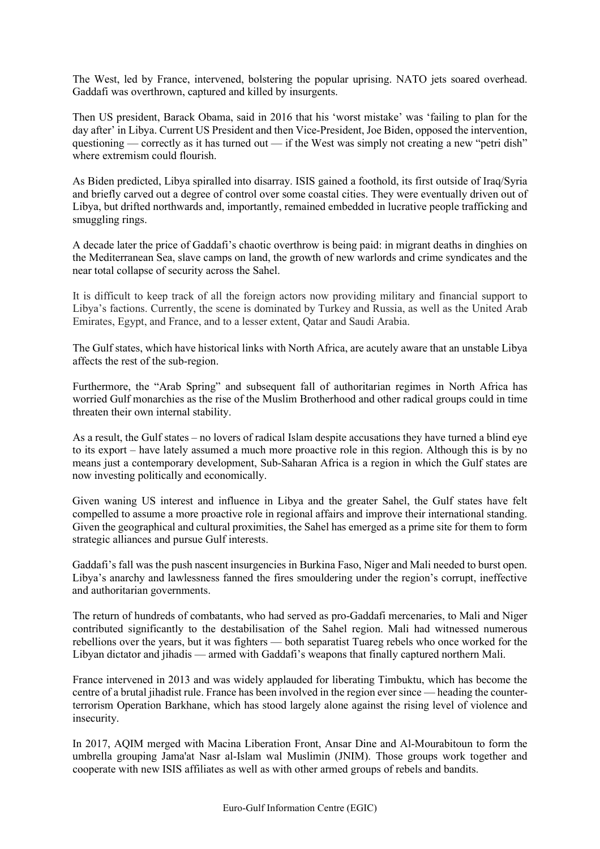The West, led by France, intervened, bolstering the popular uprising. NATO jets soared overhead. Gaddafi was overthrown, captured and killed by insurgents.

Then US president, Barack Obama, said in 2016 that his 'worst mistake' was 'failing to plan for the day after' in Libya. Current US President and then Vice-President, Joe Biden, opposed the intervention, questioning — correctly as it has turned out — if the West was simply not creating a new "petri dish" where extremism could flourish.

As Biden predicted, Libya spiralled into disarray. ISIS gained a foothold, its first outside of Iraq/Syria and briefly carved out a degree of control over some coastal cities. They were eventually driven out of Libya, but drifted northwards and, importantly, remained embedded in lucrative people trafficking and smuggling rings.

A decade later the price of Gaddafi's chaotic overthrow is being paid: in migrant deaths in dinghies on the Mediterranean Sea, slave camps on land, the growth of new warlords and crime syndicates and the near total collapse of security across the Sahel.

It is difficult to keep track of all the foreign actors now providing military and financial support to Libya's factions. Currently, the scene is dominated by Turkey and Russia, as well as the United Arab Emirates, Egypt, and France, and to a lesser extent, Qatar and Saudi Arabia.

The Gulf states, which have historical links with North Africa, are acutely aware that an unstable Libya affects the rest of the sub-region.

Furthermore, the "Arab Spring" and subsequent fall of authoritarian regimes in North Africa has worried Gulf monarchies as the rise of the Muslim Brotherhood and other radical groups could in time threaten their own internal stability.

As a result, the Gulf states – no lovers of radical Islam despite accusations they have turned a blind eye to its export – have lately assumed a much more proactive role in this region. Although this is by no means just a contemporary development, Sub-Saharan Africa is a region in which the Gulf states are now investing politically and economically.

Given waning US interest and influence in Libya and the greater Sahel, the Gulf states have felt compelled to assume a more proactive role in regional affairs and improve their international standing. Given the geographical and cultural proximities, the Sahel has emerged as a prime site for them to form strategic alliances and pursue Gulf interests.

Gaddafi's fall was the push nascent insurgencies in Burkina Faso, Niger and Mali needed to burst open. Libya's anarchy and lawlessness fanned the fires smouldering under the region's corrupt, ineffective and authoritarian governments.

The return of hundreds of combatants, who had served as pro-Gaddafi mercenaries, to Mali and Niger contributed significantly to the destabilisation of the Sahel region. Mali had witnessed numerous rebellions over the years, but it was fighters — both separatist Tuareg rebels who once worked for the Libyan dictator and jihadis — armed with Gaddafi's weapons that finally captured northern Mali.

France intervened in 2013 and was widely applauded for liberating Timbuktu, which has become the centre of a brutal jihadist rule. France has been involved in the region ever since — heading the counterterrorism Operation Barkhane, which has stood largely alone against the rising level of violence and insecurity.

In 2017, AQIM merged with Macina Liberation Front, Ansar Dine and Al-Mourabitoun to form the umbrella grouping Jama'at Nasr al-Islam wal Muslimin (JNIM). Those groups work together and cooperate with new ISIS affiliates as well as with other armed groups of rebels and bandits.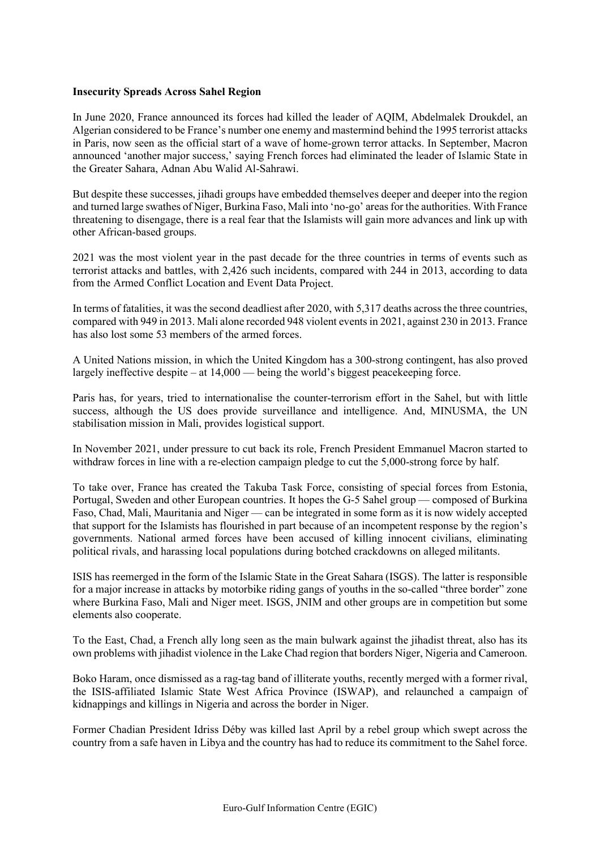### **Insecurity Spreads Across Sahel Region**

In June 2020, France announced its forces had killed the leader of AQIM, Abdelmalek Droukdel, an Algerian considered to be France's number one enemy and mastermind behind the 1995 terrorist attacks in Paris, now seen as the official start of a wave of home-grown terror attacks. In September, Macron announced 'another major success,' saying French forces had eliminated the leader of Islamic State in the Greater Sahara, Adnan Abu Walid Al-Sahrawi.

But despite these successes, jihadi groups have embedded themselves deeper and deeper into the region and turned large swathes of Niger, Burkina Faso, Mali into 'no-go' areasfor the authorities. With France threatening to disengage, there is a real fear that the Islamists will gain more advances and link up with other African-based groups.

2021 was the most violent year in the past decade for the three countries in terms of events such as terrorist attacks and battles, with 2,426 such incidents, compared with 244 in 2013, according to data from the Armed Conflict Location and Event Data Project.

In terms of fatalities, it wasthe second deadliest after 2020, with 5,317 deaths across the three countries, compared with 949 in 2013. Mali alone recorded 948 violent eventsin 2021, against 230 in 2013. France has also lost some 53 members of the armed forces.

A United Nations mission, in which the United Kingdom has a 300-strong contingent, has also proved largely ineffective despite – at 14,000 — being the world's biggest peacekeeping force.

Paris has, for years, tried to internationalise the counter-terrorism effort in the Sahel, but with little success, although the US does provide surveillance and intelligence. And, MINUSMA, the UN stabilisation mission in Mali, provides logistical support.

In November 2021, under pressure to cut back its role, French President Emmanuel Macron started to withdraw forces in line with a re-election campaign pledge to cut the 5,000-strong force by half.

To take over, France has created the Takuba Task Force, consisting of special forces from Estonia, Portugal, Sweden and other European countries. It hopes the G-5 Sahel group — composed of Burkina Faso, Chad, Mali, Mauritania and Niger — can be integrated in some form as it is now widely accepted that support for the Islamists has flourished in part because of an incompetent response by the region's governments. National armed forces have been accused of killing innocent civilians, eliminating political rivals, and harassing local populations during botched crackdowns on alleged militants.

ISIS has reemerged in the form of the Islamic State in the Great Sahara (ISGS). The latter is responsible for a major increase in attacks by motorbike riding gangs of youths in the so-called "three border" zone where Burkina Faso, Mali and Niger meet. ISGS, JNIM and other groups are in competition but some elements also cooperate.

To the East, Chad, a French ally long seen as the main bulwark against the jihadist threat, also has its own problems with jihadist violence in the Lake Chad region that borders Niger, Nigeria and Cameroon.

Boko Haram, once dismissed as a rag-tag band of illiterate youths, recently merged with a former rival, the ISIS-affiliated Islamic State West Africa Province (ISWAP), and relaunched a campaign of kidnappings and killings in Nigeria and across the border in Niger.

Former Chadian President Idriss Déby was killed last April by a rebel group which swept across the country from a safe haven in Libya and the country has had to reduce its commitment to the Sahel force.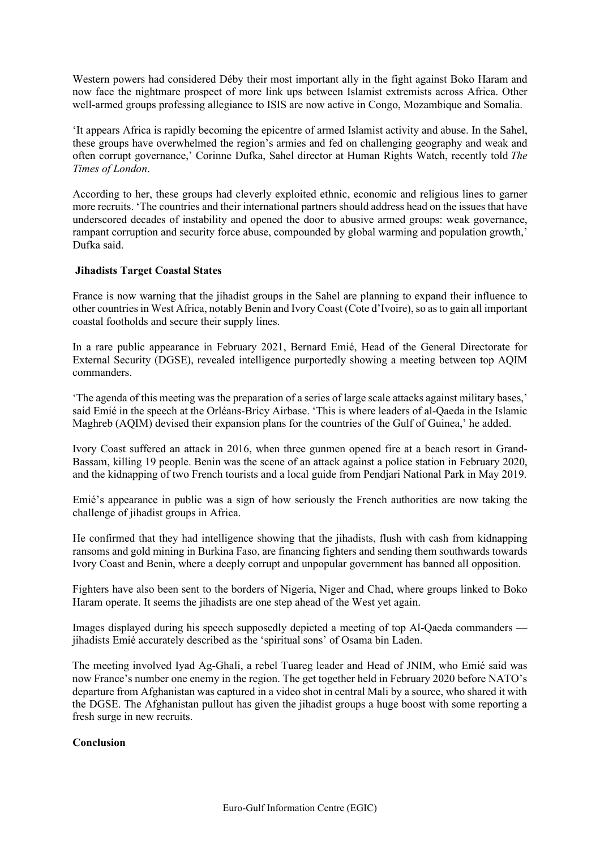Western powers had considered Déby their most important ally in the fight against Boko Haram and now face the nightmare prospect of more link ups between Islamist extremists across Africa. Other well-armed groups professing allegiance to ISIS are now active in Congo, Mozambique and Somalia.

'It appears Africa is rapidly becoming the epicentre of armed Islamist activity and abuse. In the Sahel, these groups have overwhelmed the region's armies and fed on challenging geography and weak and often corrupt governance,' Corinne Dufka, Sahel director at Human Rights Watch, recently told *The Times of London*.

According to her, these groups had cleverly exploited ethnic, economic and religious lines to garner more recruits. 'The countries and their international partners should address head on the issues that have underscored decades of instability and opened the door to abusive armed groups: weak governance, rampant corruption and security force abuse, compounded by global warming and population growth,' Dufka said.

# **Jihadists Target Coastal States**

France is now warning that the jihadist groups in the Sahel are planning to expand their influence to other countries in West Africa, notably Benin and Ivory Coast (Cote d'Ivoire), so as to gain all important coastal footholds and secure their supply lines.

In a rare public appearance in February 2021, Bernard Emié, Head of the General Directorate for External Security (DGSE), revealed intelligence purportedly showing a meeting between top AQIM commanders.

'The agenda of this meeting was the preparation of a series of large scale attacks against military bases,' said Emié in the speech at the Orléans-Bricy Airbase. 'This is where leaders of al-Qaeda in the Islamic Maghreb (AQIM) devised their expansion plans for the countries of the Gulf of Guinea,' he added.

Ivory Coast suffered an attack in 2016, when three gunmen opened fire at a beach resort in Grand-Bassam, killing 19 people. Benin was the scene of an attack against a police station in February 2020, and the kidnapping of two French tourists and a local guide from Pendjari National Park in May 2019.

Emié's appearance in public was a sign of how seriously the French authorities are now taking the challenge of jihadist groups in Africa.

He confirmed that they had intelligence showing that the jihadists, flush with cash from kidnapping ransoms and gold mining in Burkina Faso, are financing fighters and sending them southwards towards Ivory Coast and Benin, where a deeply corrupt and unpopular government has banned all opposition.

Fighters have also been sent to the borders of Nigeria, Niger and Chad, where groups linked to Boko Haram operate. It seems the jihadists are one step ahead of the West yet again.

Images displayed during his speech supposedly depicted a meeting of top Al-Qaeda commanders jihadists Emié accurately described as the 'spiritual sons' of Osama bin Laden.

The meeting involved Iyad Ag-Ghali, a rebel Tuareg leader and Head of JNIM, who Emié said was now France's number one enemy in the region. The get together held in February 2020 before NATO's departure from Afghanistan was captured in a video shot in central Mali by a source, who shared it with the DGSE. The Afghanistan pullout has given the jihadist groups a huge boost with some reporting a fresh surge in new recruits.

### **Conclusion**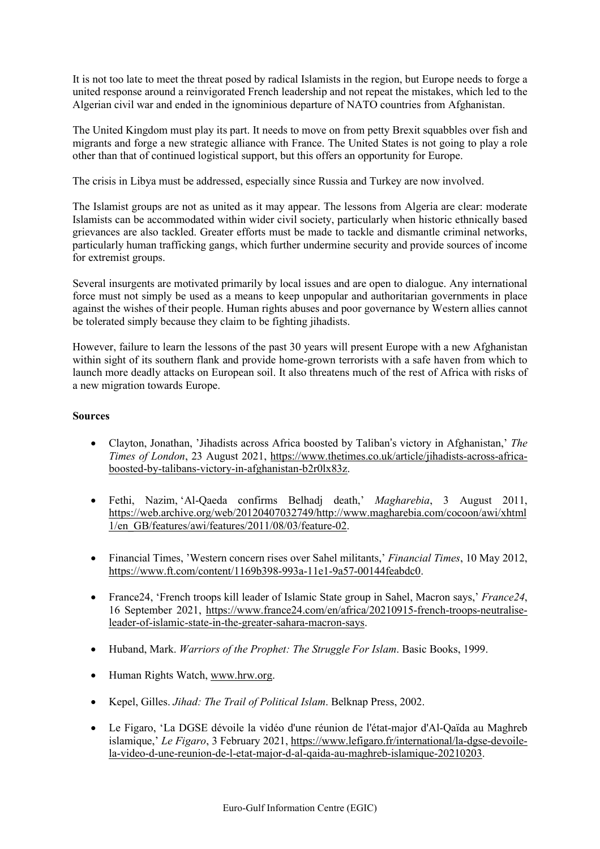It is not too late to meet the threat posed by radical Islamists in the region, but Europe needs to forge a united response around a reinvigorated French leadership and not repeat the mistakes, which led to the Algerian civil war and ended in the ignominious departure of NATO countries from Afghanistan.

The United Kingdom must play its part. It needs to move on from petty Brexit squabbles over fish and migrants and forge a new strategic alliance with France. The United States is not going to play a role other than that of continued logistical support, but this offers an opportunity for Europe.

The crisis in Libya must be addressed, especially since Russia and Turkey are now involved.

The Islamist groups are not as united as it may appear. The lessons from Algeria are clear: moderate Islamists can be accommodated within wider civil society, particularly when historic ethnically based grievances are also tackled. Greater efforts must be made to tackle and dismantle criminal networks, particularly human trafficking gangs, which further undermine security and provide sources of income for extremist groups.

Several insurgents are motivated primarily by local issues and are open to dialogue. Any international force must not simply be used as a means to keep unpopular and authoritarian governments in place against the wishes of their people. Human rights abuses and poor governance by Western allies cannot be tolerated simply because they claim to be fighting jihadists.

However, failure to learn the lessons of the past 30 years will present Europe with a new Afghanistan within sight of its southern flank and provide home-grown terrorists with a safe haven from which to launch more deadly attacks on European soil. It also threatens much of the rest of Africa with risks of a new migration towards Europe.

# **Sources**

- Clayton, Jonathan, 'Jihadists across Africa boosted by Taliban's victory in Afghanistan,' *The Times of London*, 23 August 2021, [https://www.thetimes.co.uk/article/jihadists-across-africa](https://www.thetimes.co.uk/article/jihadists-across-africa-boosted-by-talibans-victory-in-afghanistan-b2r0lx83z)[boosted-by-talibans-victory-in-afghanistan-b2r0lx83z.](https://www.thetimes.co.uk/article/jihadists-across-africa-boosted-by-talibans-victory-in-afghanistan-b2r0lx83z)
- Fethi, Nazim, 'Al-Qaeda confirms Belhadj death,' *Magharebia*, 3 August 2011, [https://web.archive.org/web/20120407032749/http://www.magharebia.com/cocoon/awi/xhtml](https://web.archive.org/web/20120407032749/http:/www.magharebia.com/cocoon/awi/xhtml1/en_GB/features/awi/features/2011/08/03/feature-02) [1/en\\_GB/features/awi/features/2011/08/03/feature-02.](https://web.archive.org/web/20120407032749/http:/www.magharebia.com/cocoon/awi/xhtml1/en_GB/features/awi/features/2011/08/03/feature-02)
- Financial Times, 'Western concern rises over Sahel militants,' *Financial Times*, 10 May 2012, [https://www.ft.com/content/1169b398-993a-11e1-9a57-00144feabdc0.](https://www.ft.com/content/1169b398-993a-11e1-9a57-00144feabdc0)
- France24, 'French troops kill leader of Islamic State group in Sahel, Macron says,' *France24*, 16 September 2021, [https://www.france24.com/en/africa/20210915-french-troops-neutralise](https://www.france24.com/en/africa/20210915-french-troops-neutralise-leader-of-islamic-state-in-the-greater-sahara-macron-says)[leader-of-islamic-state-in-the-greater-sahara-macron-says.](https://www.france24.com/en/africa/20210915-french-troops-neutralise-leader-of-islamic-state-in-the-greater-sahara-macron-says)
- Huband, Mark. *Warriors of the Prophet: The Struggle For Islam*. Basic Books, 1999.
- Human Rights Watch, [www.hrw.org.](http://www.hrw.org/)
- Kepel, Gilles. *Jihad: The Trail of Political Islam*. Belknap Press, 2002.
- Le Figaro, 'La DGSE dévoile la vidéo d'une réunion de l'état-major d'Al-Qaïda au Maghreb islamique,' *Le Figaro*, 3 February 2021, [https://www.lefigaro.fr/international/la-dgse-devoile](https://www.lefigaro.fr/international/la-dgse-devoile-la-video-d-une-reunion-de-l-etat-major-d-al-qaida-au-maghreb-islamique-20210203)[la-video-d-une-reunion-de-l-etat-major-d-al-qaida-au-maghreb-islamique-20210203.](https://www.lefigaro.fr/international/la-dgse-devoile-la-video-d-une-reunion-de-l-etat-major-d-al-qaida-au-maghreb-islamique-20210203)